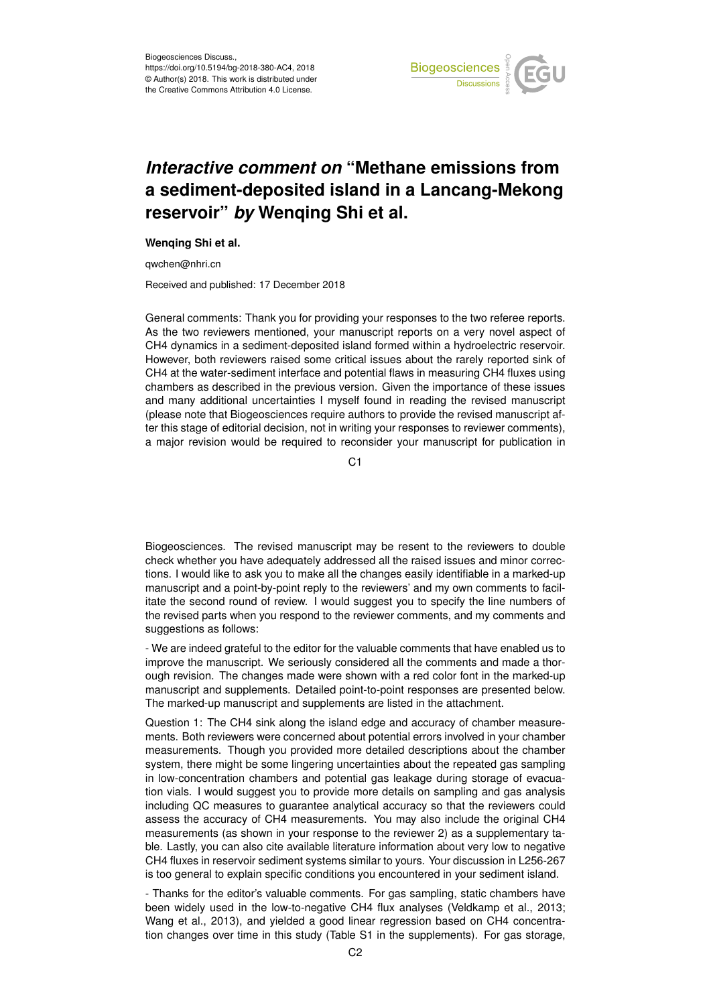

## *Interactive comment on* **"Methane emissions from a sediment-deposited island in a Lancang-Mekong reservoir"** *by* **Wenqing Shi et al.**

## **Wenqing Shi et al.**

qwchen@nhri.cn

Received and published: 17 December 2018

General comments: Thank you for providing your responses to the two referee reports. As the two reviewers mentioned, your manuscript reports on a very novel aspect of CH4 dynamics in a sediment-deposited island formed within a hydroelectric reservoir. However, both reviewers raised some critical issues about the rarely reported sink of CH4 at the water-sediment interface and potential flaws in measuring CH4 fluxes using chambers as described in the previous version. Given the importance of these issues and many additional uncertainties I myself found in reading the revised manuscript (please note that Biogeosciences require authors to provide the revised manuscript after this stage of editorial decision, not in writing your responses to reviewer comments), a major revision would be required to reconsider your manuscript for publication in

C<sub>1</sub>

Biogeosciences. The revised manuscript may be resent to the reviewers to double check whether you have adequately addressed all the raised issues and minor corrections. I would like to ask you to make all the changes easily identifiable in a marked-up manuscript and a point-by-point reply to the reviewers' and my own comments to facilitate the second round of review. I would suggest you to specify the line numbers of the revised parts when you respond to the reviewer comments, and my comments and suggestions as follows:

- We are indeed grateful to the editor for the valuable comments that have enabled us to improve the manuscript. We seriously considered all the comments and made a thorough revision. The changes made were shown with a red color font in the marked-up manuscript and supplements. Detailed point-to-point responses are presented below. The marked-up manuscript and supplements are listed in the attachment.

Question 1: The CH4 sink along the island edge and accuracy of chamber measurements. Both reviewers were concerned about potential errors involved in your chamber measurements. Though you provided more detailed descriptions about the chamber system, there might be some lingering uncertainties about the repeated gas sampling in low-concentration chambers and potential gas leakage during storage of evacuation vials. I would suggest you to provide more details on sampling and gas analysis including QC measures to guarantee analytical accuracy so that the reviewers could assess the accuracy of CH4 measurements. You may also include the original CH4 measurements (as shown in your response to the reviewer 2) as a supplementary table. Lastly, you can also cite available literature information about very low to negative CH4 fluxes in reservoir sediment systems similar to yours. Your discussion in L256-267 is too general to explain specific conditions you encountered in your sediment island.

- Thanks for the editor's valuable comments. For gas sampling, static chambers have been widely used in the low-to-negative CH4 flux analyses (Veldkamp et al., 2013; Wang et al., 2013), and yielded a good linear regression based on CH4 concentration changes over time in this study (Table S1 in the supplements). For gas storage,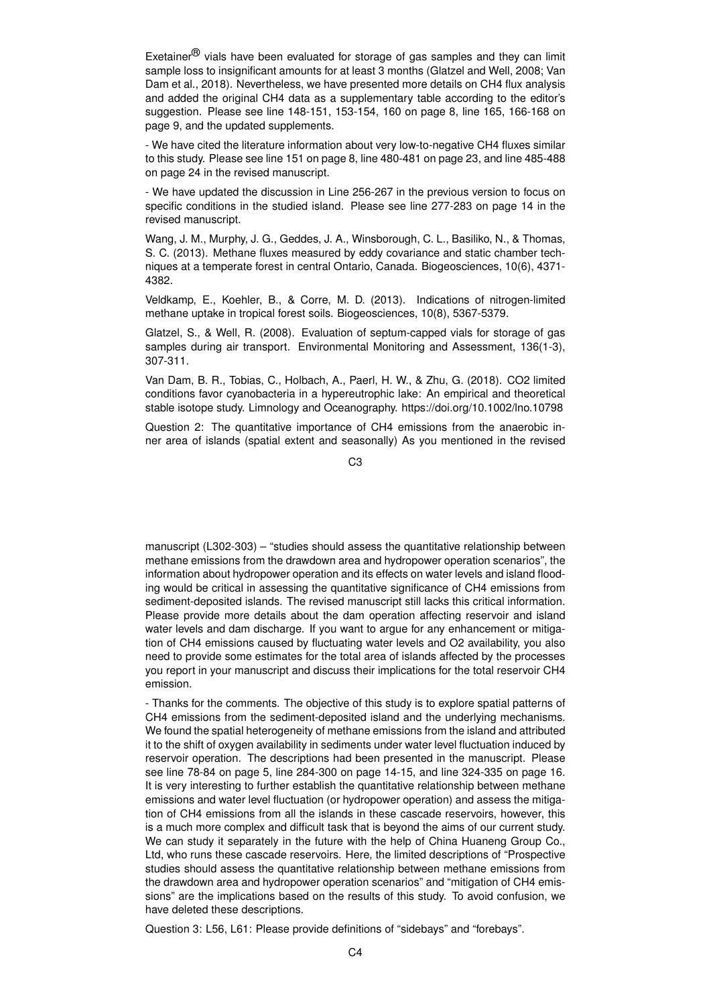Exetainer<sup>®</sup> vials have been evaluated for storage of gas samples and they can limit sample loss to insignificant amounts for at least 3 months (Glatzel and Well, 2008; Van Dam et al., 2018). Nevertheless, we have presented more details on CH4 flux analysis and added the original CH4 data as a supplementary table according to the editor's suggestion. Please see line 148-151, 153-154, 160 on page 8, line 165, 166-168 on page 9, and the updated supplements.

- We have cited the literature information about very low-to-negative CH4 fluxes similar to this study. Please see line 151 on page 8, line 480-481 on page 23, and line 485-488 on page 24 in the revised manuscript.

- We have updated the discussion in Line 256-267 in the previous version to focus on specific conditions in the studied island. Please see line 277-283 on page 14 in the revised manuscript.

Wang, J. M., Murphy, J. G., Geddes, J. A., Winsborough, C. L., Basiliko, N., & Thomas, S. C. (2013). Methane fluxes measured by eddy covariance and static chamber techniques at a temperate forest in central Ontario, Canada. Biogeosciences, 10(6), 4371- 4382.

Veldkamp, E., Koehler, B., & Corre, M. D. (2013). Indications of nitrogen-limited methane uptake in tropical forest soils. Biogeosciences, 10(8), 5367-5379.

Glatzel, S., & Well, R. (2008). Evaluation of septum-capped vials for storage of gas samples during air transport. Environmental Monitoring and Assessment, 136(1-3), 307-311.

Van Dam, B. R., Tobias, C., Holbach, A., Paerl, H. W., & Zhu, G. (2018). CO2 limited conditions favor cyanobacteria in a hypereutrophic lake: An empirical and theoretical stable isotope study. Limnology and Oceanography. https://doi.org/10.1002/lno.10798

Question 2: The quantitative importance of CH4 emissions from the anaerobic inner area of islands (spatial extent and seasonally) As you mentioned in the revised

 $C<sub>3</sub>$ 

manuscript (L302-303) – "studies should assess the quantitative relationship between methane emissions from the drawdown area and hydropower operation scenarios", the information about hydropower operation and its effects on water levels and island flooding would be critical in assessing the quantitative significance of CH4 emissions from sediment-deposited islands. The revised manuscript still lacks this critical information. Please provide more details about the dam operation affecting reservoir and island water levels and dam discharge. If you want to argue for any enhancement or mitigation of CH4 emissions caused by fluctuating water levels and O2 availability, you also need to provide some estimates for the total area of islands affected by the processes you report in your manuscript and discuss their implications for the total reservoir CH4 emission.

- Thanks for the comments. The objective of this study is to explore spatial patterns of CH4 emissions from the sediment-deposited island and the underlying mechanisms. We found the spatial heterogeneity of methane emissions from the island and attributed it to the shift of oxygen availability in sediments under water level fluctuation induced by reservoir operation. The descriptions had been presented in the manuscript. Please see line 78-84 on page 5, line 284-300 on page 14-15, and line 324-335 on page 16. It is very interesting to further establish the quantitative relationship between methane emissions and water level fluctuation (or hydropower operation) and assess the mitigation of CH4 emissions from all the islands in these cascade reservoirs, however, this is a much more complex and difficult task that is beyond the aims of our current study. We can study it separately in the future with the help of China Huaneng Group Co., Ltd, who runs these cascade reservoirs. Here, the limited descriptions of "Prospective studies should assess the quantitative relationship between methane emissions from the drawdown area and hydropower operation scenarios" and "mitigation of CH4 emissions" are the implications based on the results of this study. To avoid confusion, we have deleted these descriptions.

Question 3: L56, L61: Please provide definitions of "sidebays" and "forebays".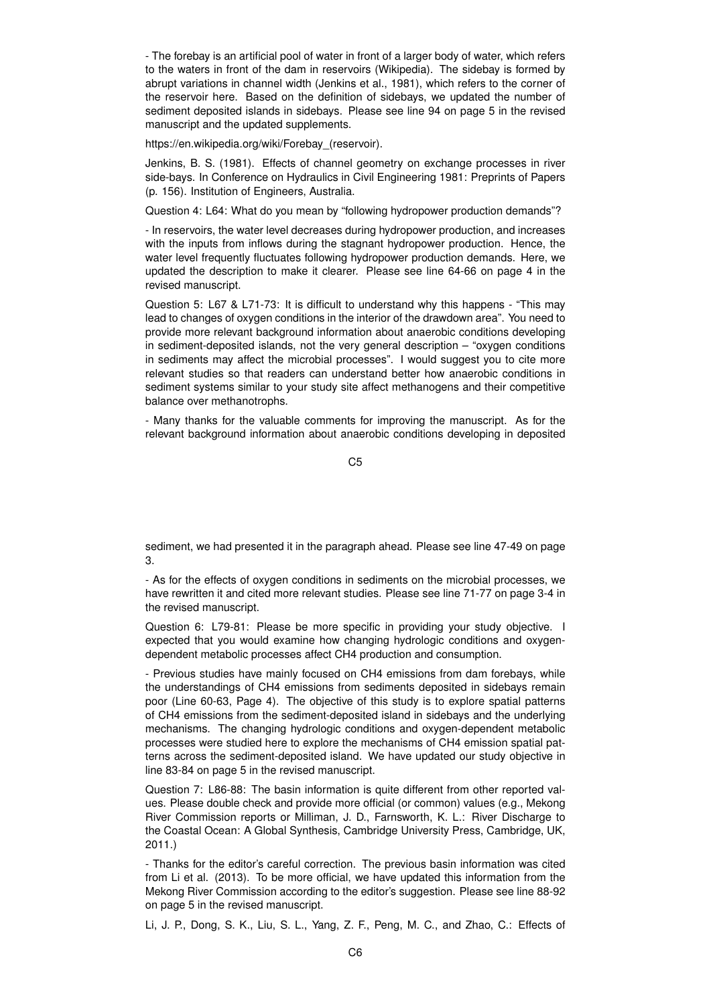- The forebay is an artificial pool of water in front of a larger body of water, which refers to the waters in front of the dam in reservoirs (Wikipedia). The sidebay is formed by abrupt variations in channel width (Jenkins et al., 1981), which refers to the corner of the reservoir here. Based on the definition of sidebays, we updated the number of sediment deposited islands in sidebays. Please see line 94 on page 5 in the revised manuscript and the updated supplements.

https://en.wikipedia.org/wiki/Forebay (reservoir).

Jenkins, B. S. (1981). Effects of channel geometry on exchange processes in river side-bays. In Conference on Hydraulics in Civil Engineering 1981: Preprints of Papers (p. 156). Institution of Engineers, Australia.

Question 4: L64: What do you mean by "following hydropower production demands"?

- In reservoirs, the water level decreases during hydropower production, and increases with the inputs from inflows during the stagnant hydropower production. Hence, the water level frequently fluctuates following hydropower production demands. Here, we updated the description to make it clearer. Please see line 64-66 on page 4 in the revised manuscript.

Question 5: L67 & L71-73: It is difficult to understand why this happens - "This may lead to changes of oxygen conditions in the interior of the drawdown area". You need to provide more relevant background information about anaerobic conditions developing in sediment-deposited islands, not the very general description – "oxygen conditions in sediments may affect the microbial processes". I would suggest you to cite more relevant studies so that readers can understand better how anaerobic conditions in sediment systems similar to your study site affect methanogens and their competitive balance over methanotrophs.

- Many thanks for the valuable comments for improving the manuscript. As for the relevant background information about anaerobic conditions developing in deposited

C5

sediment, we had presented it in the paragraph ahead. Please see line 47-49 on page 3.

- As for the effects of oxygen conditions in sediments on the microbial processes, we have rewritten it and cited more relevant studies. Please see line 71-77 on page 3-4 in the revised manuscript.

Question 6: L79-81: Please be more specific in providing your study objective. I expected that you would examine how changing hydrologic conditions and oxygendependent metabolic processes affect CH4 production and consumption.

- Previous studies have mainly focused on CH4 emissions from dam forebays, while the understandings of CH4 emissions from sediments deposited in sidebays remain poor (Line 60-63, Page 4). The objective of this study is to explore spatial patterns of CH4 emissions from the sediment-deposited island in sidebays and the underlying mechanisms. The changing hydrologic conditions and oxygen-dependent metabolic processes were studied here to explore the mechanisms of CH4 emission spatial patterns across the sediment-deposited island. We have updated our study objective in line 83-84 on page 5 in the revised manuscript.

Question 7: L86-88: The basin information is quite different from other reported values. Please double check and provide more official (or common) values (e.g., Mekong River Commission reports or Milliman, J. D., Farnsworth, K. L.: River Discharge to the Coastal Ocean: A Global Synthesis, Cambridge University Press, Cambridge, UK, 2011.)

- Thanks for the editor's careful correction. The previous basin information was cited from Li et al. (2013). To be more official, we have updated this information from the Mekong River Commission according to the editor's suggestion. Please see line 88-92 on page 5 in the revised manuscript.

Li, J. P., Dong, S. K., Liu, S. L., Yang, Z. F., Peng, M. C., and Zhao, C.: Effects of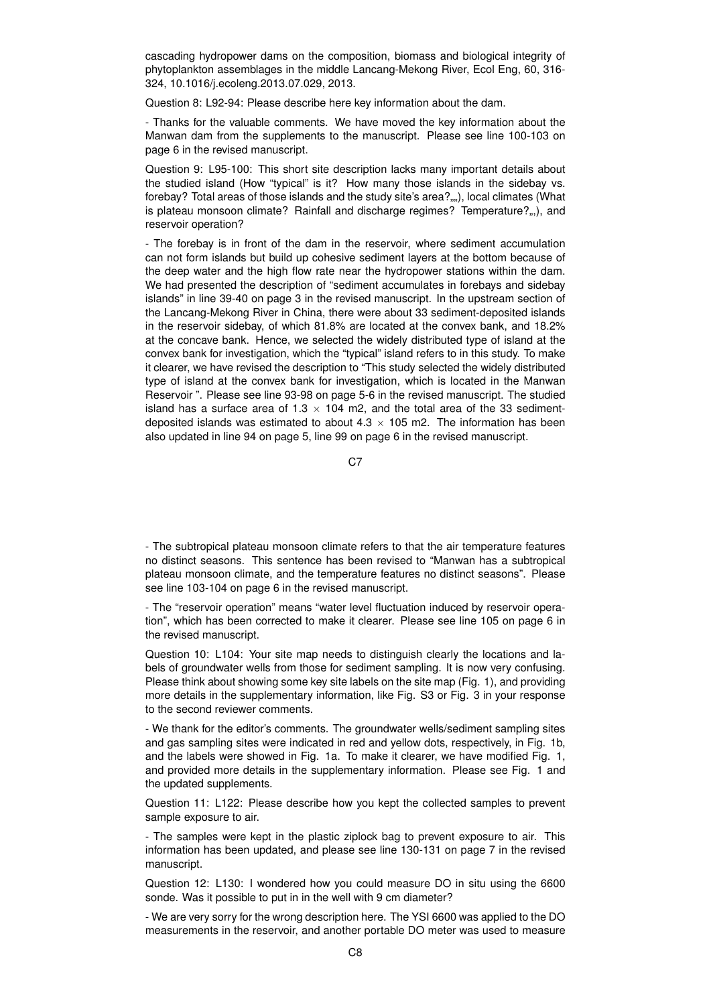cascading hydropower dams on the composition, biomass and biological integrity of phytoplankton assemblages in the middle Lancang-Mekong River, Ecol Eng, 60, 316- 324, 10.1016/j.ecoleng.2013.07.029, 2013.

Question 8: L92-94: Please describe here key information about the dam.

- Thanks for the valuable comments. We have moved the key information about the Manwan dam from the supplements to the manuscript. Please see line 100-103 on page 6 in the revised manuscript.

Question 9: L95-100: This short site description lacks many important details about the studied island (How "typical" is it? How many those islands in the sidebay vs. forebay? Total areas of those islands and the study site's area?...,), local climates (What is plateau monsoon climate? Rainfall and discharge regimes? Temperature?...), and reservoir operation?

- The forebay is in front of the dam in the reservoir, where sediment accumulation can not form islands but build up cohesive sediment layers at the bottom because of the deep water and the high flow rate near the hydropower stations within the dam. We had presented the description of "sediment accumulates in forebays and sidebay islands" in line 39-40 on page 3 in the revised manuscript. In the upstream section of the Lancang-Mekong River in China, there were about 33 sediment-deposited islands in the reservoir sidebay, of which 81.8% are located at the convex bank, and 18.2% at the concave bank. Hence, we selected the widely distributed type of island at the convex bank for investigation, which the "typical" island refers to in this study. To make it clearer, we have revised the description to "This study selected the widely distributed type of island at the convex bank for investigation, which is located in the Manwan Reservoir ". Please see line 93-98 on page 5-6 in the revised manuscript. The studied island has a surface area of 1.3  $\times$  104 m2, and the total area of the 33 sedimentdeposited islands was estimated to about  $4.3 \times 105$  m2. The information has been also updated in line 94 on page 5, line 99 on page 6 in the revised manuscript.

C<sub>7</sub>

- The subtropical plateau monsoon climate refers to that the air temperature features no distinct seasons. This sentence has been revised to "Manwan has a subtropical plateau monsoon climate, and the temperature features no distinct seasons". Please see line 103-104 on page 6 in the revised manuscript.

- The "reservoir operation" means "water level fluctuation induced by reservoir operation", which has been corrected to make it clearer. Please see line 105 on page 6 in the revised manuscript.

Question 10: L104: Your site map needs to distinguish clearly the locations and labels of groundwater wells from those for sediment sampling. It is now very confusing. Please think about showing some key site labels on the site map (Fig. 1), and providing more details in the supplementary information, like Fig. S3 or Fig. 3 in your response to the second reviewer comments.

- We thank for the editor's comments. The groundwater wells/sediment sampling sites and gas sampling sites were indicated in red and yellow dots, respectively, in Fig. 1b, and the labels were showed in Fig. 1a. To make it clearer, we have modified Fig. 1, and provided more details in the supplementary information. Please see Fig. 1 and the updated supplements.

Question 11: L122: Please describe how you kept the collected samples to prevent sample exposure to air.

- The samples were kept in the plastic ziplock bag to prevent exposure to air. This information has been updated, and please see line 130-131 on page 7 in the revised manuscript.

Question 12: L130: I wondered how you could measure DO in situ using the 6600 sonde. Was it possible to put in in the well with 9 cm diameter?

- We are very sorry for the wrong description here. The YSI 6600 was applied to the DO measurements in the reservoir, and another portable DO meter was used to measure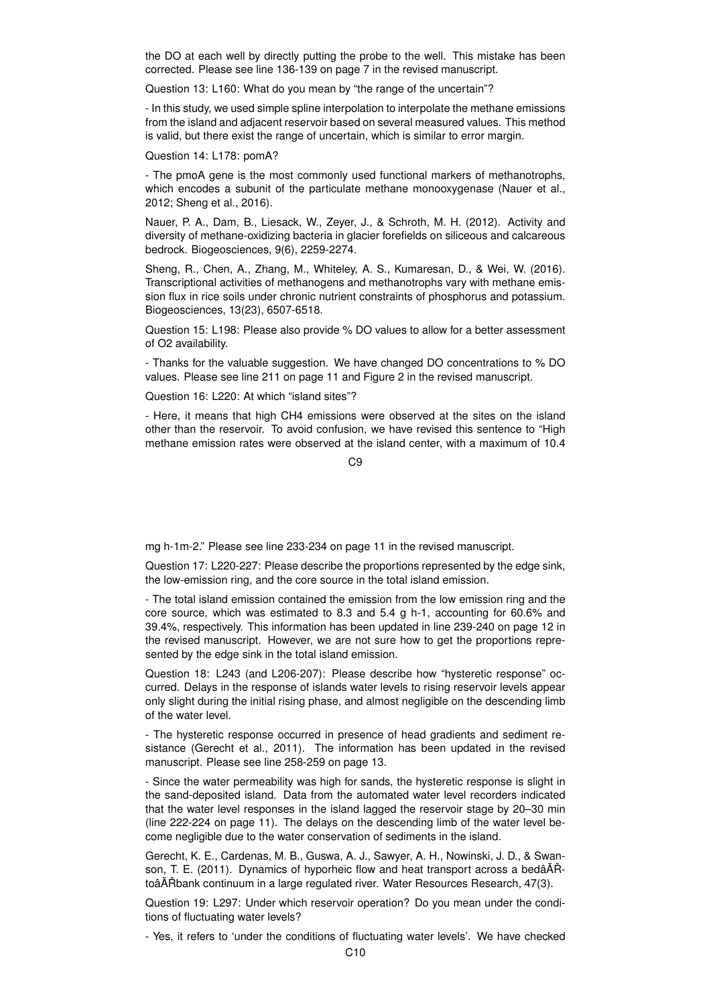the DO at each well by directly putting the probe to the well. This mistake has been corrected. Please see line 136-139 on page 7 in the revised manuscript.

Question 13: L160: What do you mean by "the range of the uncertain"?

- In this study, we used simple spline interpolation to interpolate the methane emissions from the island and adjacent reservoir based on several measured values. This method is valid, but there exist the range of uncertain, which is similar to error margin.

Question 14: L178: pomA?

- The pmoA gene is the most commonly used functional markers of methanotrophs, which encodes a subunit of the particulate methane monooxygenase (Nauer et al., 2012; Sheng et al., 2016).

Nauer, P. A., Dam, B., Liesack, W., Zeyer, J., & Schroth, M. H. (2012). Activity and diversity of methane-oxidizing bacteria in glacier forefields on siliceous and calcareous bedrock. Biogeosciences, 9(6), 2259-2274.

Sheng, R., Chen, A., Zhang, M., Whiteley, A. S., Kumaresan, D., & Wei, W. (2016). Transcriptional activities of methanogens and methanotrophs vary with methane emission flux in rice soils under chronic nutrient constraints of phosphorus and potassium. Biogeosciences, 13(23), 6507-6518.

Question 15: L198: Please also provide % DO values to allow for a better assessment of O2 availability.

- Thanks for the valuable suggestion. We have changed DO concentrations to % DO values. Please see line 211 on page 11 and Figure 2 in the revised manuscript.

Question 16: L220: At which "island sites"?

- Here, it means that high CH4 emissions were observed at the sites on the island other than the reservoir. To avoid confusion, we have revised this sentence to "High methane emission rates were observed at the island center, with a maximum of 10.4

 $C9$ 

mg h-1m-2." Please see line 233-234 on page 11 in the revised manuscript.

Question 17: L220-227: Please describe the proportions represented by the edge sink, the low-emission ring, and the core source in the total island emission.

- The total island emission contained the emission from the low emission ring and the core source, which was estimated to 8.3 and 5.4 g h-1, accounting for 60.6% and 39.4%, respectively. This information has been updated in line 239-240 on page 12 in the revised manuscript. However, we are not sure how to get the proportions represented by the edge sink in the total island emission.

Question 18: L243 (and L206-207): Please describe how "hysteretic response" occurred. Delays in the response of islands water levels to rising reservoir levels appear only slight during the initial rising phase, and almost negligible on the descending limb of the water level.

- The hysteretic response occurred in presence of head gradients and sediment resistance (Gerecht et al., 2011). The information has been updated in the revised manuscript. Please see line 258-259 on page 13.

- Since the water permeability was high for sands, the hysteretic response is slight in the sand-deposited island. Data from the automated water level recorders indicated that the water level responses in the island lagged the reservoir stage by 20–30 min (line 222-224 on page 11). The delays on the descending limb of the water level become negligible due to the water conservation of sediments in the island.

Gerecht, K. E., Cardenas, M. B., Guswa, A. J., Sawyer, A. H., Nowinski, J. D., & Swanson, T. E. (2011). Dynamics of hyporheic flow and heat transport across a bedâĂŘtoâĂŘbank continuum in a large regulated river. Water Resources Research, 47(3).

Question 19: L297: Under which reservoir operation? Do you mean under the conditions of fluctuating water levels?

- Yes, it refers to 'under the conditions of fluctuating water levels'. We have checked